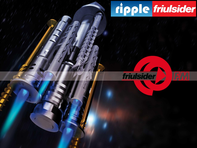# ripple friulsider



 $111111$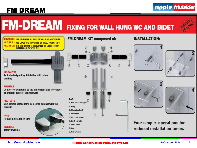## **FM DREAM**

## ripple friulsider

# **FM-DREAM** FIXING FOR WALL HUNG WC AND BIDET



UNIVERSAL: ONE VERSION FOR ALL TYPES OF WALL HUNG SANITARYWARE SAFE: ALL LOADS ARE SUPPORTED BY STEEL COMPONENTS **RELIABLE: THE HIGH TORQUE IS GUARANTEED BY A HIGH SECTION COUPLING SCREW/STEEL PIN** 



### **INNOVATIVE**

Entirely designed by Friulsider with patent pending

#### **FLEXIBLE**

**Completely adaptable to the dimensions and tolerances** of different types of sanitaryware

#### **PROTECTS**

Only plastic components come into contact with the ceramic

**FAST Reduced installation time** 

**INVISIBLE Totally invisible** 



### **FM-DREAM KIT composed of:**



## **INSTALLATION:**









Four simple operations for reduced installation times.

#### http://www.rippleindia.in

#### **Ripple Construction Products Pvt Ltd**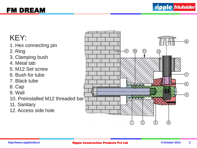## FM DREAM

# KEY:

- 1. Hex connecting pin
- 2. Ring
- 3. Clamping bush
- 4. Metal tab
- 5. M12 Set screw
- 6. Bush for tube
- 7. Black tube
- 8. Cap
- 9. Wall
- 10. Preinstalled M12 threaded bar
- 11. Sanitary
- 12. Access side hole

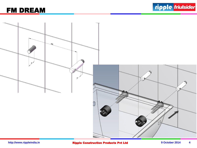## FM DREAM

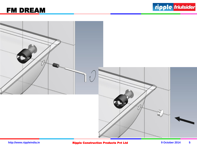





**http://www.rippleindia.in Ripple Construction Products Pvt Ltd** 9 October 2014 5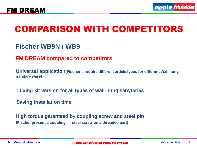# **COMPARISON WITH COMPETITORS**

**Fischer WB9N / WB9**

**FM DREAM compared to competitors**

**Universal application(Fischer's require different article types for different Wall hung sanitary ware)**

**1 fixing kit version for all types of wall-hung sanytaries**

**Saving installation time**

**High torque garanteed by coupling screw and steel pin (Fischer present a coupling steel screw on a threaded part)**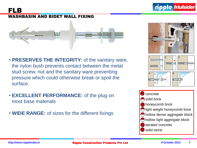

## WASHBASIN AND BIDET WALL FIXING



- **PRESERVES THE INTEGRITY:** of the sanitary ware, the nylon bush prevents contact between the metal stud screw, nut and the sanitary ware preventing pressure which could otherwise break or spoil the surface.
- **EXCELLENT PERFORMANCE:** of the plug on most base materials
- **WIDE RANGE:** of sizes for the different fixings